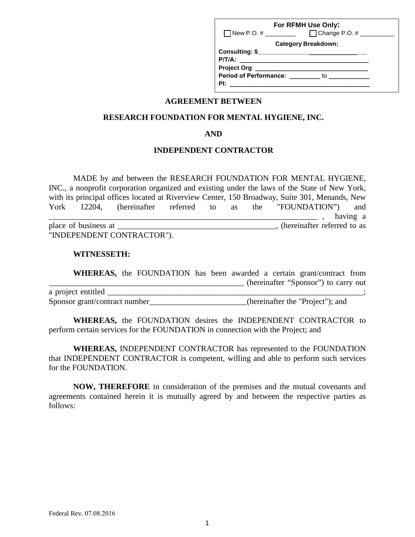|                              | For RFMH Use Only:                                                                                                                                                                                                                  |
|------------------------------|-------------------------------------------------------------------------------------------------------------------------------------------------------------------------------------------------------------------------------------|
| $\Box$ New P.O. # _________  | $\Box$ Change P.O. # $\_\_\_\_\_\_\_\_\_\_\_\_\_\_\_\_\_\_\_$                                                                                                                                                                       |
|                              | <b>Category Breakdown:</b>                                                                                                                                                                                                          |
|                              |                                                                                                                                                                                                                                     |
| $P/T/A$ :                    | <u> 1980 - Andrea Andrew Maria (h. 1980).</u>                                                                                                                                                                                       |
| Project Org: _______________ |                                                                                                                                                                                                                                     |
|                              | <b>Period of Performance:</b> to to the to the to the to the to the to the to the to the to the to the to the to the to the to the to the to the to the to the to the to the to the to the to the to the to the to the to the to th |
| PI:                          |                                                                                                                                                                                                                                     |

## **AGREEMENT BETWEEN**

## **RESEARCH FOUNDATION FOR MENTAL HYGIENE, INC.**

#### **AND**

## **INDEPENDENT CONTRACTOR**

MADE by and between the RESEARCH FOUNDATION FOR MENTAL HYGIENE, INC., a nonprofit corporation organized and existing under the laws of the State of New York, with its principal offices located at Riverview Center, 150 Broadway, Suite 301, Menands, New York 12204, (hereinafter referred to as the "FOUNDATION") and \_\_\_\_\_\_\_\_\_\_\_\_\_\_\_\_\_\_\_\_\_\_\_\_\_\_\_\_\_\_\_\_\_\_\_\_\_\_\_\_\_\_\_\_\_\_\_\_\_\_\_\_\_\_\_\_\_\_\_\_\_\_\_\_\_\_ , having a place of business at \_\_\_\_\_\_\_\_\_\_\_\_\_\_\_\_\_\_\_\_\_\_\_\_, (hereinafter referred to as "INDEPENDENT CONTRACTOR").

#### **WITNESSETH:**

**WHEREAS,** the FOUNDATION has been awarded a certain grant/contract from \_\_\_\_\_\_\_\_\_\_\_\_\_\_\_\_\_\_\_\_\_\_\_\_\_\_\_\_\_\_\_\_\_\_\_\_\_\_\_\_\_\_\_\_\_\_\_\_ (hereinafter "Sponsor") to carry out a project entitled \_\_\_\_\_\_\_\_\_\_\_\_\_\_\_\_\_\_\_\_\_\_\_\_\_\_\_\_\_\_\_\_\_\_\_\_\_\_\_\_\_\_\_\_\_\_\_\_\_\_\_\_\_\_\_\_\_\_\_\_\_\_\_; Sponsor grant/contract number\_\_\_\_\_\_\_\_\_\_\_\_\_\_\_\_\_\_\_\_\_(hereinafter the "Project"); and

**WHEREAS,** the FOUNDATION desires the INDEPENDENT CONTRACTOR to perform certain services for the FOUNDATION in connection with the Project; and

**WHEREAS,** INDEPENDENT CONTRACTOR has represented to the FOUNDATION that INDEPENDENT CONTRACTOR is competent, willing and able to perform such services for the FOUNDATION.

**NOW, THEREFORE** in consideration of the premises and the mutual covenants and agreements contained herein it is mutually agreed by and between the respective parties as follows: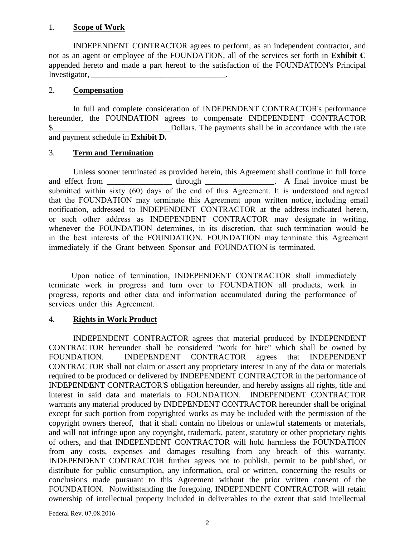## 1. **Scope of Work**

INDEPENDENT CONTRACTOR agrees to perform, as an independent contractor, and not as an agent or employee of the FOUNDATION, all of the services set forth in **Exhibit C** appended hereto and made a part hereof to the satisfaction of the FOUNDATION's Principal Investigator,

## 2. **Compensation**

In full and complete consideration of INDEPENDENT CONTRACTOR's performance hereunder, the FOUNDATION agrees to compensate INDEPENDENT CONTRACTOR \$ Dollars. The payments shall be in accordance with the rate and payment schedule in **Exhibit D.** 

## 3. **Term and Termination**

Unless sooner terminated as provided herein, this Agreement shall continue in full force and effect from \_\_\_\_\_\_\_\_\_\_\_\_\_\_\_\_\_\_ through \_\_\_\_\_\_\_\_\_\_\_\_\_\_\_\_. A final invoice must be submitted within sixty (60) days of the end of this Agreement. It is understood and agreed that the FOUNDATION may terminate this Agreement upon written notice, including email notification, addressed to INDEPENDENT CONTRACTOR at the address indicated herein, or such other address as INDEPENDENT CONTRACTOR may designate in writing, whenever the FOUNDATION determines, in its discretion, that such termination would be in the best interests of the FOUNDATION. FOUNDATION may terminate this Agreement immediately if the Grant between Sponsor and FOUNDATION is terminated.

 Upon notice of termination, INDEPENDENT CONTRACTOR shall immediately terminate work in progress and turn over to FOUNDATION all products, work in progress, reports and other data and information accumulated during the performance of services under this Agreement.

# 4. **Rights in Work Product**

INDEPENDENT CONTRACTOR agrees that material produced by INDEPENDENT CONTRACTOR hereunder shall be considered "work for hire" which shall be owned by FOUNDATION. INDEPENDENT CONTRACTOR agrees that INDEPENDENT CONTRACTOR shall not claim or assert any proprietary interest in any of the data or materials required to be produced or delivered by INDEPENDENT CONTRACTOR in the performance of INDEPENDENT CONTRACTOR'S obligation hereunder, and hereby assigns all rights, title and interest in said data and materials to FOUNDATION. INDEPENDENT CONTRACTOR warrants any material produced by INDEPENDENT CONTRACTOR hereunder shall be original except for such portion from copyrighted works as may be included with the permission of the copyright owners thereof, that it shall contain no libelous or unlawful statements or materials, and will not infringe upon any copyright, trademark, patent, statutory or other proprietary rights of others, and that INDEPENDENT CONTRACTOR will hold harmless the FOUNDATION from any costs, expenses and damages resulting from any breach of this warranty. INDEPENDENT CONTRACTOR further agrees not to publish, permit to be published, or distribute for public consumption, any information, oral or written, concerning the results or conclusions made pursuant to this Agreement without the prior written consent of the FOUNDATION. Notwithstanding the foregoing, INDEPENDENT CONTRACTOR will retain ownership of intellectual property included in deliverables to the extent that said intellectual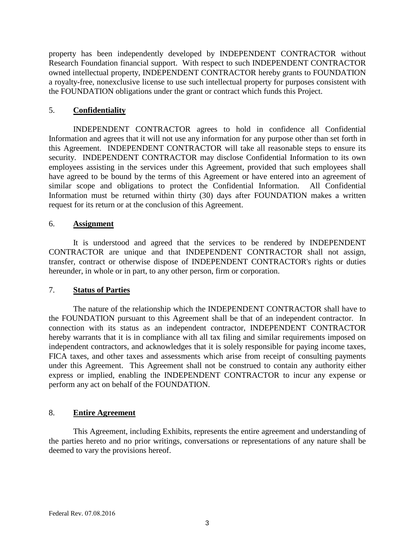property has been independently developed by INDEPENDENT CONTRACTOR without Research Foundation financial support. With respect to such INDEPENDENT CONTRACTOR owned intellectual property, INDEPENDENT CONTRACTOR hereby grants to FOUNDATION a royalty-free, nonexclusive license to use such intellectual property for purposes consistent with the FOUNDATION obligations under the grant or contract which funds this Project.

## 5. **Confidentiality**

INDEPENDENT CONTRACTOR agrees to hold in confidence all Confidential Information and agrees that it will not use any information for any purpose other than set forth in this Agreement. INDEPENDENT CONTRACTOR will take all reasonable steps to ensure its security. INDEPENDENT CONTRACTOR may disclose Confidential Information to its own employees assisting in the services under this Agreement, provided that such employees shall have agreed to be bound by the terms of this Agreement or have entered into an agreement of similar scope and obligations to protect the Confidential Information. All Confidential Information must be returned within thirty (30) days after FOUNDATION makes a written request for its return or at the conclusion of this Agreement.

## 6. **Assignment**

It is understood and agreed that the services to be rendered by INDEPENDENT CONTRACTOR are unique and that INDEPENDENT CONTRACTOR shall not assign, transfer, contract or otherwise dispose of INDEPENDENT CONTRACTOR's rights or duties hereunder, in whole or in part, to any other person, firm or corporation.

## 7. **Status of Parties**

The nature of the relationship which the INDEPENDENT CONTRACTOR shall have to the FOUNDATION pursuant to this Agreement shall be that of an independent contractor. In connection with its status as an independent contractor, INDEPENDENT CONTRACTOR hereby warrants that it is in compliance with all tax filing and similar requirements imposed on independent contractors, and acknowledges that it is solely responsible for paying income taxes, FICA taxes, and other taxes and assessments which arise from receipt of consulting payments under this Agreement. This Agreement shall not be construed to contain any authority either express or implied, enabling the INDEPENDENT CONTRACTOR to incur any expense or perform any act on behalf of the FOUNDATION.

## 8. **Entire Agreement**

This Agreement, including Exhibits, represents the entire agreement and understanding of the parties hereto and no prior writings, conversations or representations of any nature shall be deemed to vary the provisions hereof.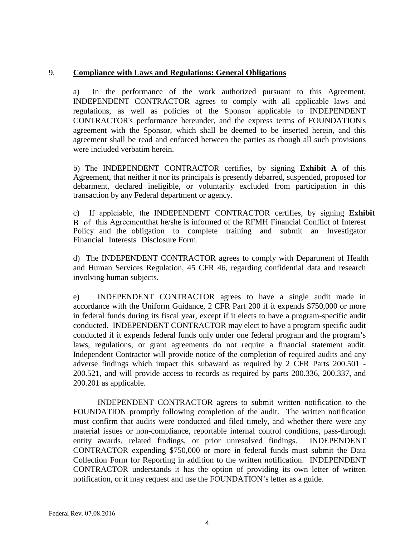## 9. **Compliance with Laws and Regulations: General Obligations**

a) In the performance of the work authorized pursuant to this Agreement, INDEPENDENT CONTRACTOR agrees to comply with all applicable laws and regulations, as well as policies of the Sponsor applicable to INDEPENDENT CONTRACTOR's performance hereunder, and the express terms of FOUNDATION's agreement with the Sponsor, which shall be deemed to be inserted herein, and this agreement shall be read and enforced between the parties as though all such provisions were included verbatim herein.

b) The INDEPENDENT CONTRACTOR certifies, by signing **Exhibit A** of this Agreement, that neither it nor its principals is presently debarred, suspended, proposed for debarment, declared ineligible, or voluntarily excluded from participation in this transaction by any Federal department or agency.

c) If applciable, the INDEPENDENT CONTRACTOR certifies, by signing **Exhibit** B of this Agreementthat he/she is informed of the RFMH Financial Conflict of Interest Policy and the obligation to complete training and submit an Investigator Financial Interests Disclosure Form.

d) The INDEPENDENT CONTRACTOR agrees to comply with Department of Health and Human Services Regulation, 45 CFR 46, regarding confidential data and research involving human subjects.

e) INDEPENDENT CONTRACTOR agrees to have a single audit made in accordance with the Uniform Guidance, 2 CFR Part 200 if it expends \$750,000 or more in federal funds during its fiscal year, except if it elects to have a program-specific audit conducted. INDEPENDENT CONTRACTOR may elect to have a program specific audit conducted if it expends federal funds only under one federal program and the program's laws, regulations, or grant agreements do not require a financial statement audit. Independent Contractor will provide notice of the completion of required audits and any adverse findings which impact this subaward as required by 2 CFR Parts 200.501 - 200.521, and will provide access to records as required by parts 200.336, 200.337, and 200.201 as applicable.

INDEPENDENT CONTRACTOR agrees to submit written notification to the FOUNDATION promptly following completion of the audit. The written notification must confirm that audits were conducted and filed timely, and whether there were any material issues or non-compliance, reportable internal control conditions, pass-through entity awards, related findings, or prior unresolved findings. INDEPENDENT CONTRACTOR expending \$750,000 or more in federal funds must submit the Data Collection Form for Reporting in addition to the written notification. INDEPENDENT CONTRACTOR understands it has the option of providing its own letter of written notification, or it may request and use the FOUNDATION's letter as a guide.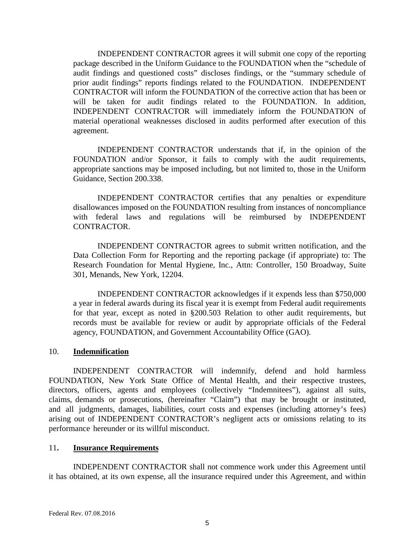INDEPENDENT CONTRACTOR agrees it will submit one copy of the reporting package described in the Uniform Guidance to the FOUNDATION when the "schedule of audit findings and questioned costs" discloses findings, or the "summary schedule of prior audit findings" reports findings related to the FOUNDATION. INDEPENDENT CONTRACTOR will inform the FOUNDATION of the corrective action that has been or will be taken for audit findings related to the FOUNDATION. In addition, INDEPENDENT CONTRACTOR will immediately inform the FOUNDATION of material operational weaknesses disclosed in audits performed after execution of this agreement.

INDEPENDENT CONTRACTOR understands that if, in the opinion of the FOUNDATION and/or Sponsor, it fails to comply with the audit requirements, appropriate sanctions may be imposed including, but not limited to, those in the Uniform Guidance, Section 200.338.

INDEPENDENT CONTRACTOR certifies that any penalties or expenditure disallowances imposed on the FOUNDATION resulting from instances of noncompliance with federal laws and regulations will be reimbursed by INDEPENDENT CONTRACTOR.

INDEPENDENT CONTRACTOR agrees to submit written notification, and the Data Collection Form for Reporting and the reporting package (if appropriate) to: The Research Foundation for Mental Hygiene, Inc., Attn: Controller, 150 Broadway, Suite 301, Menands, New York, 12204.

INDEPENDENT CONTRACTOR acknowledges if it expends less than \$750,000 a year in federal awards during its fiscal year it is exempt from Federal audit requirements for that year, except as noted in §200.503 Relation to other audit requirements, but records must be available for review or audit by appropriate officials of the Federal agency, FOUNDATION, and Government Accountability Office (GAO).

#### 10. **Indemnification**

INDEPENDENT CONTRACTOR will indemnify, defend and hold harmless FOUNDATION, New York State Office of Mental Health, and their respective trustees, directors, officers, agents and employees (collectively "Indemnitees"), against all suits, claims, demands or prosecutions, (hereinafter "Claim") that may be brought or instituted, and all judgments, damages, liabilities, court costs and expenses (including attorney's fees) arising out of INDEPENDENT CONTRACTOR's negligent acts or omissions relating to its performance hereunder or its willful misconduct.

#### 11**. Insurance Requirements**

INDEPENDENT CONTRACTOR shall not commence work under this Agreement until it has obtained, at its own expense, all the insurance required under this Agreement, and within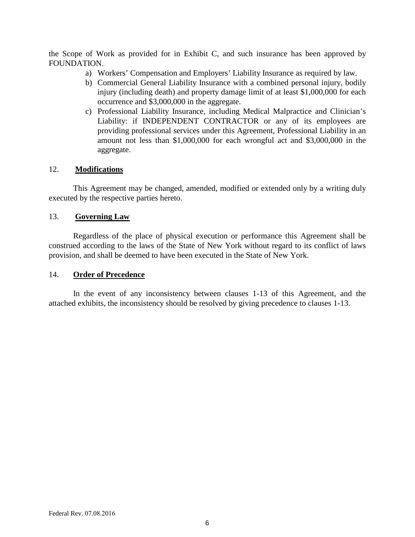the Scope of Work as provided for in Exhibit C, and such insurance has been approved by FOUNDATION.

- a) Workers' Compensation and Employers' Liability Insurance as required by law.
- b) Commercial General Liability Insurance with a combined personal injury, bodily injury (including death) and property damage limit of at least \$1,000,000 for each occurrence and \$3,000,000 in the aggregate.
- c) Professional Liability Insurance, including Medical Malpractice and Clinician's Liability: if INDEPENDENT CONTRACTOR or any of its employees are providing professional services under this Agreement, Professional Liability in an amount not less than \$1,000,000 for each wrongful act and \$3,000,000 in the aggregate.

## 12. **Modifications**

This Agreement may be changed, amended, modified or extended only by a writing duly executed by the respective parties hereto.

## 13. **Governing Law**

Regardless of the place of physical execution or performance this Agreement shall be construed according to the laws of the State of New York without regard to its conflict of laws provision, and shall be deemed to have been executed in the State of New York.

## 14. **Order of Precedence**

In the event of any inconsistency between clauses 1-13 of this Agreement, and the attached exhibits, the inconsistency should be resolved by giving precedence to clauses 1-13.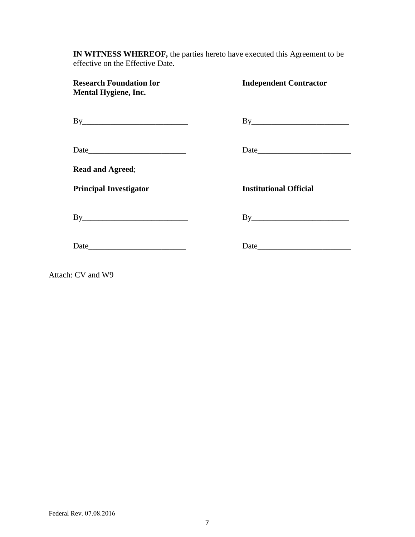**IN WITNESS WHEREOF,** the parties hereto have executed this Agreement to be effective on the Effective Date.

| <b>Research Foundation for</b><br><b>Mental Hygiene, Inc.</b> | <b>Independent Contractor</b> |
|---------------------------------------------------------------|-------------------------------|
| By                                                            | By                            |
|                                                               |                               |
| <b>Read and Agreed;</b>                                       |                               |
| <b>Principal Investigator</b>                                 | <b>Institutional Official</b> |
| By                                                            | By                            |
|                                                               |                               |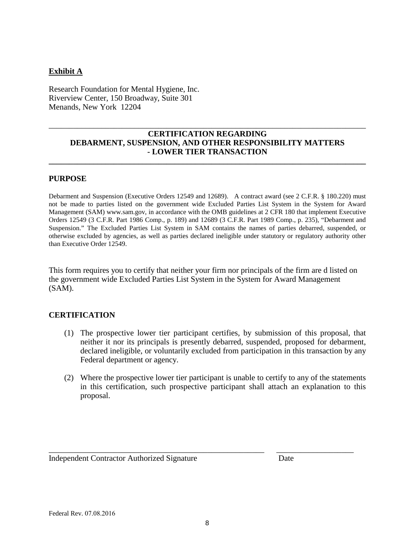## **Exhibit A**

Research Foundation for Mental Hygiene, Inc. Riverview Center, 150 Broadway, Suite 301 Menands, New York 12204

## **CERTIFICATION REGARDING DEBARMENT, SUSPENSION, AND OTHER RESPONSIBILITY MATTERS - LOWER TIER TRANSACTION**

**\_\_\_\_\_\_\_\_\_\_\_\_\_\_\_\_\_\_\_\_\_\_\_\_\_\_\_\_\_\_\_\_\_\_\_\_\_\_\_\_\_\_\_\_\_\_\_\_\_\_\_\_\_\_\_\_\_\_\_\_\_\_\_\_\_\_\_\_\_\_\_\_\_\_\_\_\_\_** 

\_\_\_\_\_\_\_\_\_\_\_\_\_\_\_\_\_\_\_\_\_\_\_\_\_\_\_\_\_\_\_\_\_\_\_\_\_\_\_\_\_\_\_\_\_\_\_\_\_\_\_\_\_\_\_\_\_\_\_\_\_\_\_\_\_\_\_\_\_\_\_\_\_\_\_\_\_\_

#### **PURPOSE**

Debarment and Suspension (Executive Orders 12549 and 12689). A contract award (see 2 C.F.R. § 180.220) must not be made to parties listed on the government wide Excluded Parties List System in the System for Award Management (SAM) www.sam.gov, in accordance with the OMB guidelines at 2 CFR 180 that implement Executive Orders 12549 (3 C.F.R. Part 1986 Comp., p. 189) and 12689 (3 C.F.R. Part 1989 Comp., p. 235), "Debarment and Suspension." The Excluded Parties List System in SAM contains the names of parties debarred, suspended, or otherwise excluded by agencies, as well as parties declared ineligible under statutory or regulatory authority other than Executive Order 12549.

This form requires you to certify that neither your firm nor principals of the firm are d listed on the government wide Excluded Parties List System in the System for Award Management (SAM).

## **CERTIFICATION**

- (1) The prospective lower tier participant certifies, by submission of this proposal, that neither it nor its principals is presently debarred, suspended, proposed for debarment, declared ineligible, or voluntarily excluded from participation in this transaction by any Federal department or agency.
- (2) Where the prospective lower tier participant is unable to certify to any of the statements in this certification, such prospective participant shall attach an explanation to this proposal.

Independent Contractor Authorized Signature Date

\_\_\_\_\_\_\_\_\_\_\_\_\_\_\_\_\_\_\_\_\_\_\_\_\_\_\_\_\_\_\_\_\_\_\_\_\_\_\_\_\_\_\_\_\_\_\_\_\_\_\_\_\_ \_\_\_\_\_\_\_\_\_\_\_\_\_\_\_\_\_\_\_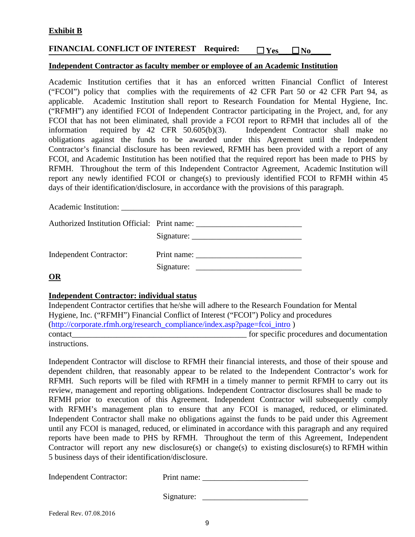## **Exhibit B**

# **FINANCIAL CONFLICT OF INTEREST Required:**  $\Box$  Yes  $\Box$  No

#### **Independent Contractor as faculty member or employee of an Academic Institution**

Academic Institution certifies that it has an enforced written Financial Conflict of Interest ("FCOI") policy that complies with the requirements of 42 CFR Part 50 or 42 CFR Part 94, as applicable. Academic Institution shall report to Research Foundation for Mental Hygiene, Inc. ("RFMH") any identified FCOI of Independent Contractor participating in the Project, and, for any FCOI that has not been eliminated, shall provide a FCOI report to RFMH that includes all of the information required by 42 CFR 50.605(b)(3). Independent Contractor shall make no obligations against the funds to be awarded under this Agreement until the Independent Contractor's financial disclosure has been reviewed, RFMH has been provided with a report of any FCOI, and Academic Institution has been notified that the required report has been made to PHS by RFMH. Throughout the term of this Independent Contractor Agreement, Academic Institution will report any newly identified FCOI or change(s) to previously identified FCOI to RFMH within 45 days of their identification/disclosure, in accordance with the provisions of this paragraph.

Academic Institution:

| Authorized Institution Official: Print name: |             |
|----------------------------------------------|-------------|
|                                              |             |
| Independent Contractor:                      | Print name: |
|                                              | Signature:  |

**OR**

#### **Independent Contractor: individual status**

Independent Contractor certifies that he/she will adhere to the Research Foundation for Mental Hygiene, Inc. ("RFMH") Financial Conflict of Interest ("FCOI") Policy and procedures (http://corporate.rfmh.org/research\_compliance/index.asp?page=fcoi\_intro ) contact the contact of the contact of the specific procedures and documentation instructions.

Independent Contractor will disclose to RFMH their financial interests, and those of their spouse and dependent children, that reasonably appear to be related to the Independent Contractor's work for RFMH*.* Such reports will be filed with RFMH in a timely manner to permit RFMH to carry out its review, management and reporting obligations. Independent Contractor disclosures shall be made to RFMH prior to execution of this Agreement. Independent Contractor will subsequently comply with RFMH's management plan to ensure that any FCOI is managed, reduced, or eliminated. Independent Contractor shall make no obligations against the funds to be paid under this Agreement until any FCOI is managed, reduced, or eliminated in accordance with this paragraph and any required reports have been made to PHS by RFMH. Throughout the term of this Agreement, Independent Contractor will report any new disclosure(s) or change(s) to existing disclosure(s) to RFMH within 5 business days of their identification/disclosure.

| <b>Independent Contractor:</b> | Print name: |
|--------------------------------|-------------|
|--------------------------------|-------------|

Signature: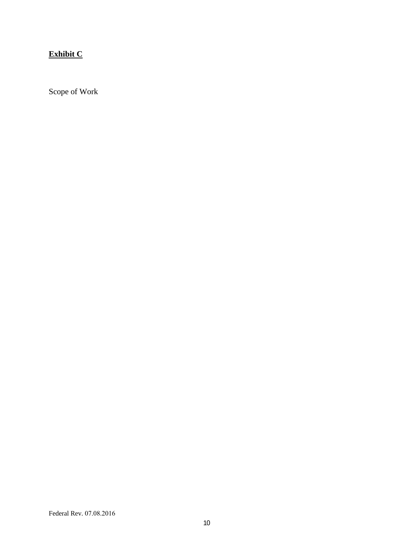# **Exhibit C**

Scope of Work